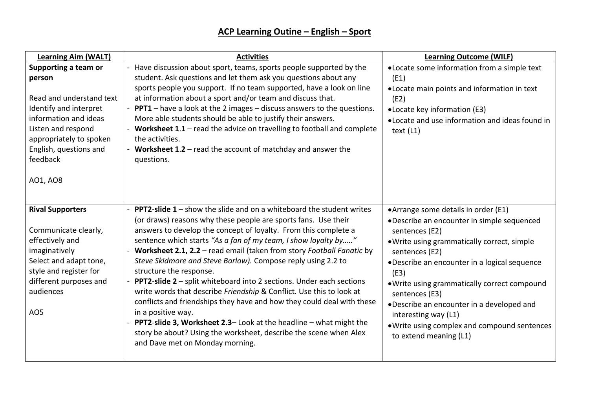| <b>Learning Aim (WALT)</b>                                                                                                                                                                                       | <b>Activities</b>                                                                                                                                                                                                                                                                                                                                                                                                                                                                                                                                                                                                                                                                                                                                                                                                                                                                             | <b>Learning Outcome (WILF)</b>                                                                                                                                                                                                                                                                                                                                                                                                                 |
|------------------------------------------------------------------------------------------------------------------------------------------------------------------------------------------------------------------|-----------------------------------------------------------------------------------------------------------------------------------------------------------------------------------------------------------------------------------------------------------------------------------------------------------------------------------------------------------------------------------------------------------------------------------------------------------------------------------------------------------------------------------------------------------------------------------------------------------------------------------------------------------------------------------------------------------------------------------------------------------------------------------------------------------------------------------------------------------------------------------------------|------------------------------------------------------------------------------------------------------------------------------------------------------------------------------------------------------------------------------------------------------------------------------------------------------------------------------------------------------------------------------------------------------------------------------------------------|
| Supporting a team or<br>person<br>Read and understand text<br>Identify and interpret<br>information and ideas<br>Listen and respond<br>appropriately to spoken<br>English, questions and<br>feedback<br>AO1, AO8 | Have discussion about sport, teams, sports people supported by the<br>student. Ask questions and let them ask you questions about any<br>sports people you support. If no team supported, have a look on line<br>at information about a sport and/or team and discuss that.<br><b>PPT1</b> – have a look at the 2 images – discuss answers to the questions.<br>More able students should be able to justify their answers.<br>- Worksheet $1.1$ – read the advice on travelling to football and complete<br>the activities.<br>- Worksheet $1.2$ – read the account of matchday and answer the<br>questions.                                                                                                                                                                                                                                                                                 | .Locate some information from a simple text<br>(E1)<br>. Locate main points and information in text<br>(E2)<br>• Locate key information (E3)<br>.Locate and use information and ideas found in<br>text $(L1)$                                                                                                                                                                                                                                  |
| <b>Rival Supporters</b><br>Communicate clearly,<br>effectively and<br>imaginatively<br>Select and adapt tone,<br>style and register for<br>different purposes and<br>audiences<br>AO <sub>5</sub>                | <b>PPT2-slide 1</b> – show the slide and on a whiteboard the student writes<br>(or draws) reasons why these people are sports fans. Use their<br>answers to develop the concept of loyalty. From this complete a<br>sentence which starts "As a fan of my team, I show loyalty by"<br>Worksheet 2.1, 2.2 - read email (taken from story Football Fanatic by<br>Steve Skidmore and Steve Barlow). Compose reply using 2.2 to<br>structure the response.<br><b>PPT2-slide 2</b> - split whiteboard into 2 sections. Under each sections<br>write words that describe Friendship & Conflict. Use this to look at<br>conflicts and friendships they have and how they could deal with these<br>in a positive way.<br>- PPT2-slide 3, Worksheet 2.3- Look at the headline - what might the<br>story be about? Using the worksheet, describe the scene when Alex<br>and Dave met on Monday morning. | • Arrange some details in order (E1)<br>•Describe an encounter in simple sequenced<br>sentences (E2)<br>. Write using grammatically correct, simple<br>sentences (E2)<br>•Describe an encounter in a logical sequence<br>(E3)<br>. Write using grammatically correct compound<br>sentences (E3)<br>.Describe an encounter in a developed and<br>interesting way (L1)<br>. Write using complex and compound sentences<br>to extend meaning (L1) |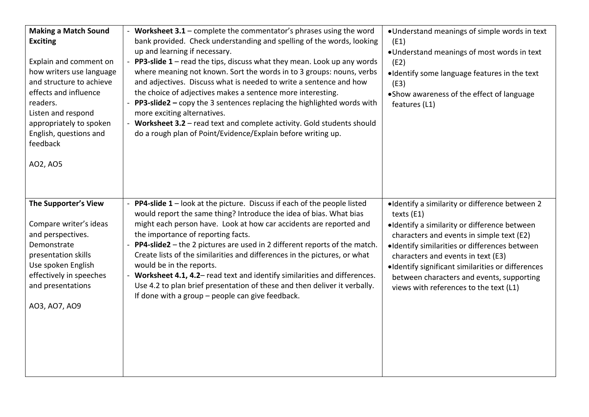| <b>Making a Match Sound</b><br><b>Exciting</b><br>Explain and comment on<br>how writers use language<br>and structure to achieve<br>effects and influence<br>readers.<br>Listen and respond<br>appropriately to spoken<br>English, questions and<br>feedback<br>AO2, AO5 | - Worksheet 3.1 - complete the commentator's phrases using the word<br>bank provided. Check understanding and spelling of the words, looking<br>up and learning if necessary.<br><b>PP3-slide 1</b> – read the tips, discuss what they mean. Look up any words<br>where meaning not known. Sort the words in to 3 groups: nouns, verbs<br>and adjectives. Discuss what is needed to write a sentence and how<br>the choice of adjectives makes a sentence more interesting.<br><b>PP3-slide2</b> – copy the 3 sentences replacing the highlighted words with<br>more exciting alternatives.<br>- Worksheet 3.2 - read text and complete activity. Gold students should<br>do a rough plan of Point/Evidence/Explain before writing up. | •Understand meanings of simple words in text<br>(E1)<br>. Understand meanings of most words in text<br>(E2)<br>·Identify some language features in the text<br>(E3)<br>• Show awareness of the effect of language<br>features (L1)                                                                                                                                                           |
|--------------------------------------------------------------------------------------------------------------------------------------------------------------------------------------------------------------------------------------------------------------------------|----------------------------------------------------------------------------------------------------------------------------------------------------------------------------------------------------------------------------------------------------------------------------------------------------------------------------------------------------------------------------------------------------------------------------------------------------------------------------------------------------------------------------------------------------------------------------------------------------------------------------------------------------------------------------------------------------------------------------------------|----------------------------------------------------------------------------------------------------------------------------------------------------------------------------------------------------------------------------------------------------------------------------------------------------------------------------------------------------------------------------------------------|
| The Supporter's View<br>Compare writer's ideas<br>and perspectives.<br>Demonstrate<br>presentation skills<br>Use spoken English<br>effectively in speeches<br>and presentations<br>A03, A07, A09                                                                         | PP4-slide 1 - look at the picture. Discuss if each of the people listed<br>would report the same thing? Introduce the idea of bias. What bias<br>might each person have. Look at how car accidents are reported and<br>the importance of reporting facts.<br>PP4-slide2 - the 2 pictures are used in 2 different reports of the match.<br>Create lists of the similarities and differences in the pictures, or what<br>would be in the reports.<br>- Worksheet 4.1, 4.2- read text and identify similarities and differences.<br>Use 4.2 to plan brief presentation of these and then deliver it verbally.<br>If done with a group - people can give feedback.                                                                         | •Identify a similarity or difference between 2<br>texts (E1)<br>·Identify a similarity or difference between<br>characters and events in simple text (E2)<br>·Identify similarities or differences between<br>characters and events in text (E3)<br>·Identify significant similarities or differences<br>between characters and events, supporting<br>views with references to the text (L1) |